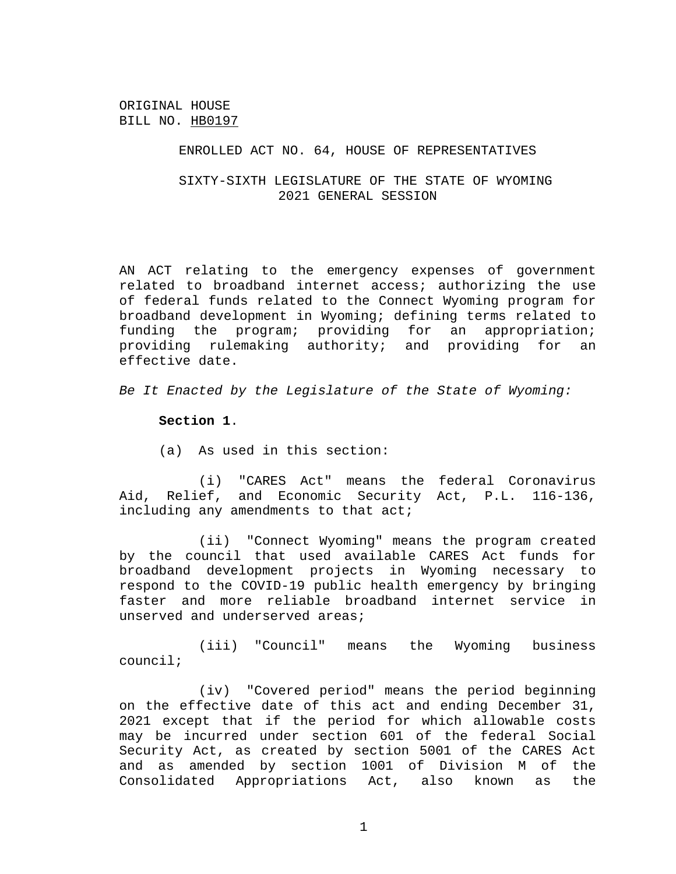ORIGINAL HOUSE BILL NO. HB0197

## ENROLLED ACT NO. 64, HOUSE OF REPRESENTATIVES

SIXTY-SIXTH LEGISLATURE OF THE STATE OF WYOMING 2021 GENERAL SESSION

AN ACT relating to the emergency expenses of government related to broadband internet access; authorizing the use of federal funds related to the Connect Wyoming program for broadband development in Wyoming; defining terms related to funding the program; providing for an appropriation; providing rulemaking authority; and providing for an effective date.

*Be It Enacted by the Legislature of the State of Wyoming:*

**Section 1**.

(a) As used in this section:

(i) "CARES Act" means the federal Coronavirus Aid, Relief, and Economic Security Act, P.L. 116-136, including any amendments to that act;

(ii) "Connect Wyoming" means the program created by the council that used available CARES Act funds for broadband development projects in Wyoming necessary to respond to the COVID-19 public health emergency by bringing faster and more reliable broadband internet service in unserved and underserved areas;

(iii) "Council" means the Wyoming business council;

(iv) "Covered period" means the period beginning on the effective date of this act and ending December 31, 2021 except that if the period for which allowable costs may be incurred under section 601 of the federal Social Security Act, as created by section 5001 of the CARES Act and as amended by section 1001 of Division M of the Consolidated Appropriations Act, also known as the

1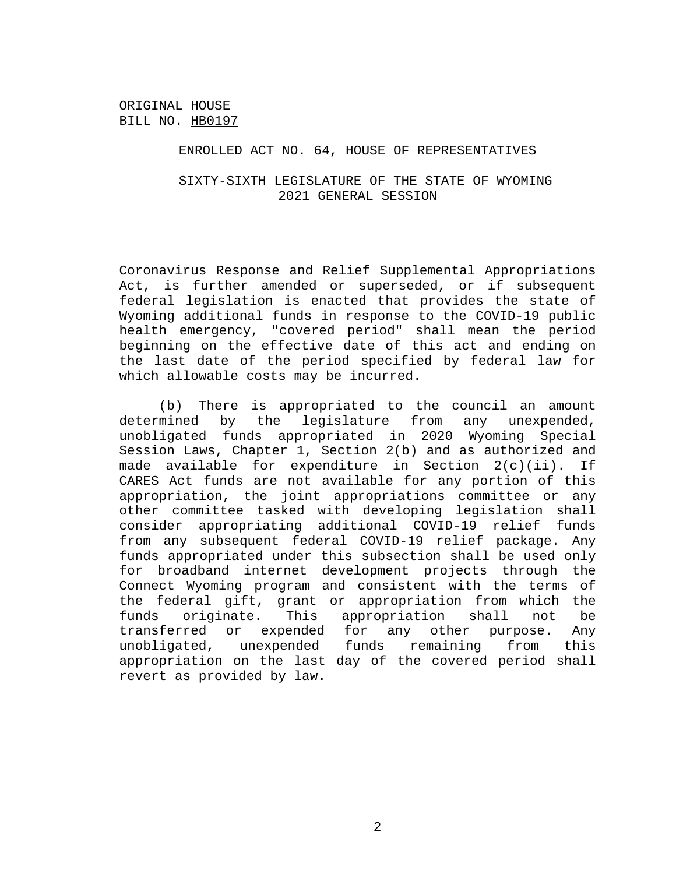ORIGINAL HOUSE BILL NO. HB0197

## ENROLLED ACT NO. 64, HOUSE OF REPRESENTATIVES

## SIXTY-SIXTH LEGISLATURE OF THE STATE OF WYOMING 2021 GENERAL SESSION

Coronavirus Response and Relief Supplemental Appropriations Act, is further amended or superseded, or if subsequent federal legislation is enacted that provides the state of Wyoming additional funds in response to the COVID-19 public health emergency, "covered period" shall mean the period beginning on the effective date of this act and ending on the last date of the period specified by federal law for which allowable costs may be incurred.

(b) There is appropriated to the council an amount determined by the legislature from any unexpended, unobligated funds appropriated in 2020 Wyoming Special Session Laws, Chapter 1, Section 2(b) and as authorized and made available for expenditure in Section 2(c)(ii). If CARES Act funds are not available for any portion of this appropriation, the joint appropriations committee or any other committee tasked with developing legislation shall consider appropriating additional COVID-19 relief funds from any subsequent federal COVID-19 relief package. Any funds appropriated under this subsection shall be used only for broadband internet development projects through the Connect Wyoming program and consistent with the terms of the federal gift, grant or appropriation from which the funds originate. This appropriation shall not be transferred or expended for any other purpose. Any unobligated, unexpended funds remaining from this appropriation on the last day of the covered period shall revert as provided by law.